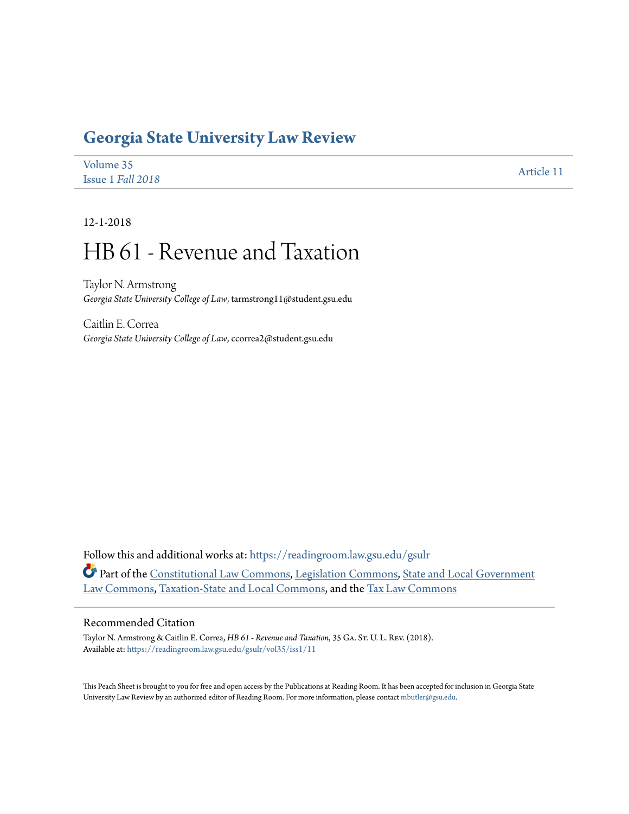## **[Georgia State University Law Review](https://readingroom.law.gsu.edu/gsulr?utm_source=readingroom.law.gsu.edu%2Fgsulr%2Fvol35%2Fiss1%2F11&utm_medium=PDF&utm_campaign=PDFCoverPages)**

| Volume 35         | Article 11 |
|-------------------|------------|
| Issue 1 Fall 2018 |            |

12-1-2018

# HB 61 - Revenue and Taxation

Taylor N. Armstrong *Georgia State University College of Law*, tarmstrong11@student.gsu.edu

Caitlin E. Correa *Georgia State University College of Law*, ccorrea2@student.gsu.edu

Follow this and additional works at: [https://readingroom.law.gsu.edu/gsulr](https://readingroom.law.gsu.edu/gsulr?utm_source=readingroom.law.gsu.edu%2Fgsulr%2Fvol35%2Fiss1%2F11&utm_medium=PDF&utm_campaign=PDFCoverPages) Part of the [Constitutional Law Commons,](http://network.bepress.com/hgg/discipline/589?utm_source=readingroom.law.gsu.edu%2Fgsulr%2Fvol35%2Fiss1%2F11&utm_medium=PDF&utm_campaign=PDFCoverPages) [Legislation Commons](http://network.bepress.com/hgg/discipline/859?utm_source=readingroom.law.gsu.edu%2Fgsulr%2Fvol35%2Fiss1%2F11&utm_medium=PDF&utm_campaign=PDFCoverPages), [State and Local Government](http://network.bepress.com/hgg/discipline/879?utm_source=readingroom.law.gsu.edu%2Fgsulr%2Fvol35%2Fiss1%2F11&utm_medium=PDF&utm_campaign=PDFCoverPages) [Law Commons](http://network.bepress.com/hgg/discipline/879?utm_source=readingroom.law.gsu.edu%2Fgsulr%2Fvol35%2Fiss1%2F11&utm_medium=PDF&utm_campaign=PDFCoverPages), [Taxation-State and Local Commons,](http://network.bepress.com/hgg/discipline/882?utm_source=readingroom.law.gsu.edu%2Fgsulr%2Fvol35%2Fiss1%2F11&utm_medium=PDF&utm_campaign=PDFCoverPages) and the [Tax Law Commons](http://network.bepress.com/hgg/discipline/898?utm_source=readingroom.law.gsu.edu%2Fgsulr%2Fvol35%2Fiss1%2F11&utm_medium=PDF&utm_campaign=PDFCoverPages)

#### Recommended Citation

Taylor N. Armstrong & Caitlin E. Correa, *HB 61 - Revenue and Taxation*, 35 GA. ST. U. L. REV. (2018). Available at: [https://readingroom.law.gsu.edu/gsulr/vol35/iss1/11](https://readingroom.law.gsu.edu/gsulr/vol35/iss1/11?utm_source=readingroom.law.gsu.edu%2Fgsulr%2Fvol35%2Fiss1%2F11&utm_medium=PDF&utm_campaign=PDFCoverPages)

This Peach Sheet is brought to you for free and open access by the Publications at Reading Room. It has been accepted for inclusion in Georgia State University Law Review by an authorized editor of Reading Room. For more information, please contact [mbutler@gsu.edu.](mailto:mbutler@gsu.edu)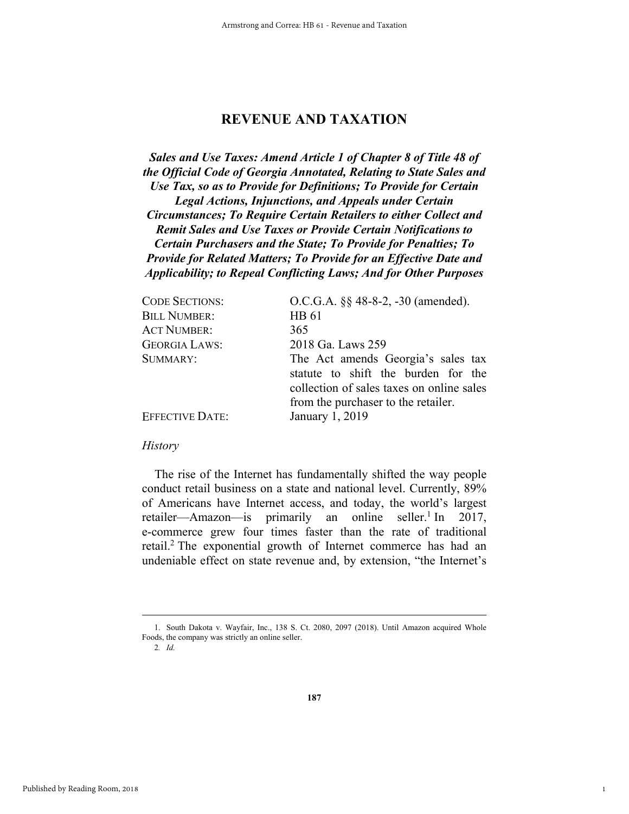### **REVENUE AND TAXATION**

*Sales and Use Taxes: Amend Article 1 of Chapter 8 of Title 48 of the Official Code of Georgia Annotated, Relating to State Sales and Use Tax, so as to Provide for Definitions; To Provide for Certain Legal Actions, Injunctions, and Appeals under Certain Circumstances; To Require Certain Retailers to either Collect and Remit Sales and Use Taxes or Provide Certain Notifications to Certain Purchasers and the State; To Provide for Penalties; To Provide for Related Matters; To Provide for an Effective Date and Applicability; to Repeal Conflicting Laws; And for Other Purposes* 

| <b>CODE SECTIONS:</b>  | O.C.G.A. §§ 48-8-2, -30 (amended).                                                                                     |
|------------------------|------------------------------------------------------------------------------------------------------------------------|
| <b>BILL NUMBER:</b>    | HB 61                                                                                                                  |
| <b>ACT NUMBER:</b>     | 365                                                                                                                    |
| <b>GEORGIA LAWS:</b>   | 2018 Ga. Laws 259                                                                                                      |
| SUMMARY:               | The Act amends Georgia's sales tax<br>statute to shift the burden for the<br>collection of sales taxes on online sales |
|                        | from the purchaser to the retailer.                                                                                    |
| <b>EFFECTIVE DATE:</b> | January 1, 2019                                                                                                        |

#### *History*

The rise of the Internet has fundamentally shifted the way people conduct retail business on a state and national level. Currently, 89% of Americans have Internet access, and today, the world's largest retailer—Amazon—is primarily an online seller.<sup>1</sup> In 2017, e-commerce grew four times faster than the rate of traditional retail.<sup>2</sup> The exponential growth of Internet commerce has had an undeniable effect on state revenue and, by extension, "the Internet's

2*. Id.*

1

 <sup>1.</sup> South Dakota v. Wayfair, Inc., 138 S. Ct. 2080, 2097 (2018). Until Amazon acquired Whole Foods, the company was strictly an online seller.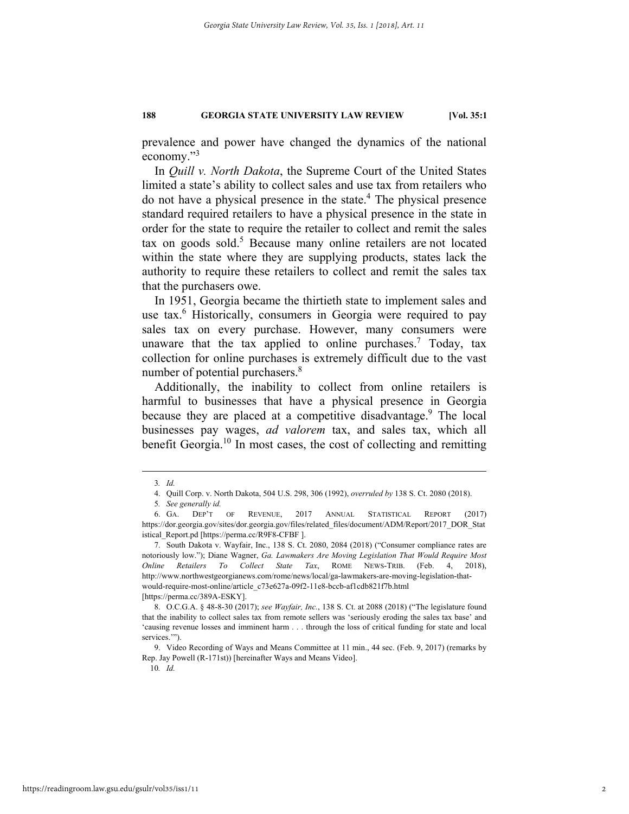prevalence and power have changed the dynamics of the national economy."<sup>3</sup>

In *Quill v. North Dakota*, the Supreme Court of the United States limited a state's ability to collect sales and use tax from retailers who do not have a physical presence in the state.<sup>4</sup> The physical presence standard required retailers to have a physical presence in the state in order for the state to require the retailer to collect and remit the sales  $\text{tax}$  on goods sold.<sup>5</sup> Because many online retailers are not located within the state where they are supplying products, states lack the authority to require these retailers to collect and remit the sales tax that the purchasers owe.

In 1951, Georgia became the thirtieth state to implement sales and use tax.<sup>6</sup> Historically, consumers in Georgia were required to pay sales tax on every purchase. However, many consumers were unaware that the tax applied to online purchases.<sup>7</sup> Today, tax collection for online purchases is extremely difficult due to the vast number of potential purchasers.<sup>8</sup>

Additionally, the inability to collect from online retailers is harmful to businesses that have a physical presence in Georgia because they are placed at a competitive disadvantage.<sup>9</sup> The local businesses pay wages, *ad valorem* tax, and sales tax, which all benefit Georgia.10 In most cases, the cost of collecting and remitting

10*. Id.*

 <sup>3</sup>*. Id.*

 <sup>4.</sup> Quill Corp. v. North Dakota, 504 U.S. 298, 306 (1992), *overruled by* 138 S. Ct. 2080 (2018).

<sup>5</sup>*. See generally id.*

 <sup>6.</sup> GA. DEP'T OF REVENUE, 2017 ANNUAL STATISTICAL REPORT (2017) https://dor.georgia.gov/sites/dor.georgia.gov/files/related\_files/document/ADM/Report/2017\_DOR\_Stat istical\_Report.pd [https://perma.cc/R9F8-CFBF ].

 <sup>7.</sup> South Dakota v. Wayfair, Inc., 138 S. Ct. 2080, 2084 (2018) ("Consumer compliance rates are notoriously low."); Diane Wagner, *Ga. Lawmakers Are Moving Legislation That Would Require Most Online Retailers To Collect State Tax*, ROME NEWS-TRIB. (Feb. 4, 2018), http://www.northwestgeorgianews.com/rome/news/local/ga-lawmakers-are-moving-legislation-thatwould-require-most-online/article\_c73e627a-09f2-11e8-bccb-af1cdb821f7b.html [https://perma.cc/389A-ESKY].

 <sup>8.</sup> O.C.G.A. § 48-8-30 (2017); *see Wayfair, Inc.*, 138 S. Ct. at 2088 (2018) ("The legislature found that the inability to collect sales tax from remote sellers was 'seriously eroding the sales tax base' and 'causing revenue losses and imminent harm . . . through the loss of critical funding for state and local services."").

 <sup>9.</sup> Video Recording of Ways and Means Committee at 11 min., 44 sec. (Feb. 9, 2017) (remarks by Rep. Jay Powell (R-171st)) [hereinafter Ways and Means Video].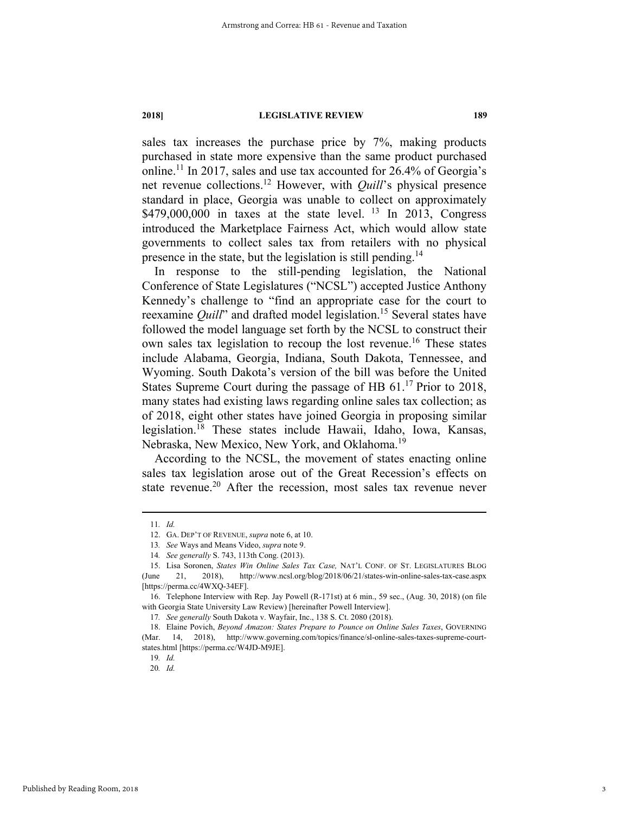sales tax increases the purchase price by 7%, making products purchased in state more expensive than the same product purchased online.11 In 2017, sales and use tax accounted for 26.4% of Georgia's net revenue collections.12 However, with *Quill*'s physical presence standard in place, Georgia was unable to collect on approximately  $$479,000,000$  in taxes at the state level. <sup>13</sup> In 2013, Congress introduced the Marketplace Fairness Act, which would allow state governments to collect sales tax from retailers with no physical presence in the state, but the legislation is still pending.<sup>14</sup>

In response to the still-pending legislation, the National Conference of State Legislatures ("NCSL") accepted Justice Anthony Kennedy's challenge to "find an appropriate case for the court to reexamine *Quill*" and drafted model legislation.<sup>15</sup> Several states have followed the model language set forth by the NCSL to construct their own sales tax legislation to recoup the lost revenue.<sup>16</sup> These states include Alabama, Georgia, Indiana, South Dakota, Tennessee, and Wyoming. South Dakota's version of the bill was before the United States Supreme Court during the passage of HB  $61<sup>17</sup>$  Prior to 2018, many states had existing laws regarding online sales tax collection; as of 2018, eight other states have joined Georgia in proposing similar legislation.18 These states include Hawaii, Idaho, Iowa, Kansas, Nebraska, New Mexico, New York, and Oklahoma.<sup>19</sup>

According to the NCSL, the movement of states enacting online sales tax legislation arose out of the Great Recession's effects on state revenue.<sup>20</sup> After the recession, most sales tax revenue never

 <sup>11</sup>*. Id.*

 <sup>12.</sup> GA. DEP'T OF REVENUE, *supra* note 6, at 10.

<sup>13</sup>*. See* Ways and Means Video, *supra* note 9.

<sup>14</sup>*. See generally* S. 743, 113th Cong. (2013).

 <sup>15.</sup> Lisa Soronen, *States Win Online Sales Tax Case,* NAT'L CONF. OF ST. LEGISLATURES BLOG (June 21, 2018), http://www.ncsl.org/blog/2018/06/21/states-win-online-sales-tax-case.aspx [https://perma.cc/4WXQ-34EF].

 <sup>16.</sup> Telephone Interview with Rep. Jay Powell (R-171st) at 6 min., 59 sec., (Aug. 30, 2018) (on file with Georgia State University Law Review) [hereinafter Powell Interview].

<sup>17</sup>*. See generally* South Dakota v. Wayfair, Inc., 138 S. Ct. 2080 (2018).

 <sup>18.</sup> Elaine Povich, *Beyond Amazon: States Prepare to Pounce on Online Sales Taxes*, GOVERNING (Mar. 14, 2018), http://www.governing.com/topics/finance/sl-online-sales-taxes-supreme-courtstates.html [https://perma.cc/W4JD-M9JE].

<sup>19</sup>*. Id.*  20*. Id.*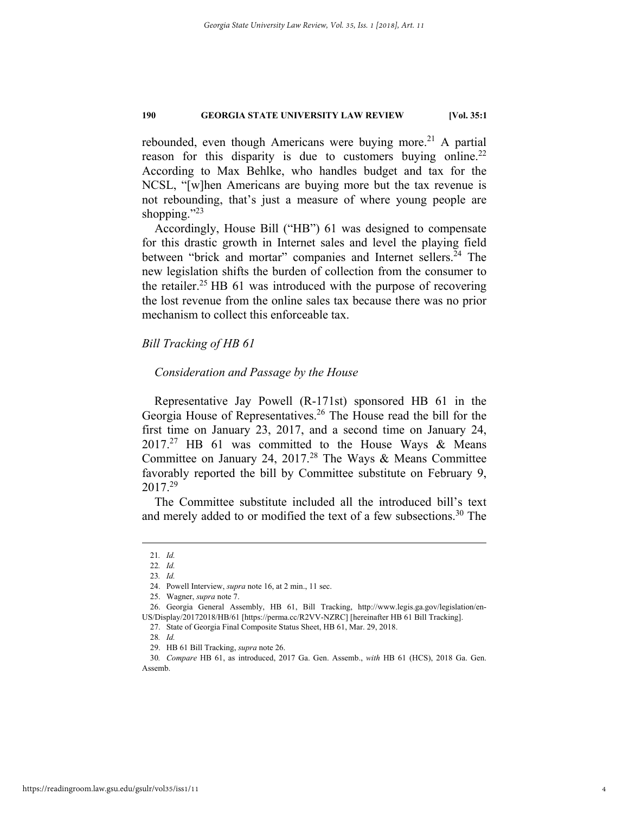rebounded, even though Americans were buying more.<sup>21</sup> A partial reason for this disparity is due to customers buying online.<sup>22</sup> According to Max Behlke, who handles budget and tax for the NCSL, "[w]hen Americans are buying more but the tax revenue is not rebounding, that's just a measure of where young people are shopping." $^{23}$ 

Accordingly, House Bill ("HB") 61 was designed to compensate for this drastic growth in Internet sales and level the playing field between "brick and mortar" companies and Internet sellers.<sup>24</sup> The new legislation shifts the burden of collection from the consumer to the retailer.<sup>25</sup> HB 61 was introduced with the purpose of recovering the lost revenue from the online sales tax because there was no prior mechanism to collect this enforceable tax.

#### *Bill Tracking of HB 61*

#### *Consideration and Passage by the House*

Representative Jay Powell (R-171st) sponsored HB 61 in the Georgia House of Representatives.26 The House read the bill for the first time on January 23, 2017, and a second time on January 24,  $2017.<sup>27</sup>$  HB 61 was committed to the House Ways & Means Committee on January 24, 2017.28 The Ways & Means Committee favorably reported the bill by Committee substitute on February 9, 2017.29

The Committee substitute included all the introduced bill's text and merely added to or modified the text of a few subsections.<sup>30</sup> The

 <sup>21</sup>*. Id.* 

<sup>22</sup>*. Id.* 

<sup>23</sup>*. Id.*

 <sup>24.</sup> Powell Interview, *supra* note 16, at 2 min., 11 sec.

 <sup>25.</sup> Wagner, *supra* note 7.

 <sup>26.</sup> Georgia General Assembly, HB 61, Bill Tracking, http://www.legis.ga.gov/legislation/en-US/Display/20172018/HB/61 [https://perma.cc/R2VV-NZRC] [hereinafter HB 61 Bill Tracking].

 <sup>27.</sup> State of Georgia Final Composite Status Sheet, HB 61, Mar. 29, 2018.

<sup>28</sup>*. Id.*

 <sup>29.</sup> HB 61 Bill Tracking, *supra* note 26.

<sup>30</sup>*. Compare* HB 61, as introduced, 2017 Ga. Gen. Assemb., *with* HB 61 (HCS), 2018 Ga. Gen. Assemb.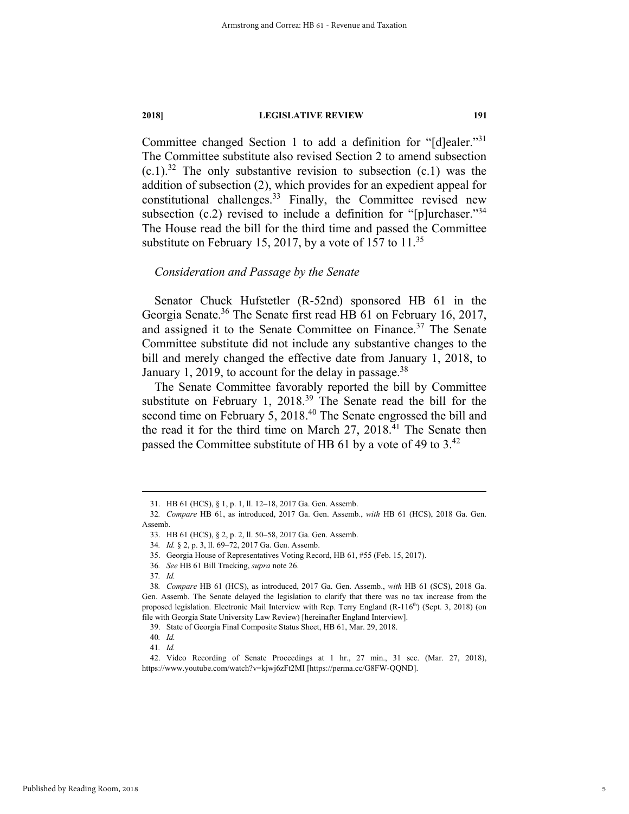Committee changed Section 1 to add a definition for "[d]ealer."<sup>31</sup> The Committee substitute also revised Section 2 to amend subsection  $(c.1)^{32}$  The only substantive revision to subsection  $(c.1)$  was the addition of subsection (2), which provides for an expedient appeal for constitutional challenges.<sup>33</sup> Finally, the Committee revised new subsection (c.2) revised to include a definition for "[p]urchaser."<sup>34</sup> The House read the bill for the third time and passed the Committee substitute on February 15, 2017, by a vote of 157 to 11.<sup>35</sup>

#### *Consideration and Passage by the Senate*

Senator Chuck Hufstetler (R-52nd) sponsored HB 61 in the Georgia Senate.36 The Senate first read HB 61 on February 16, 2017, and assigned it to the Senate Committee on Finance.<sup>37</sup> The Senate Committee substitute did not include any substantive changes to the bill and merely changed the effective date from January 1, 2018, to January 1, 2019, to account for the delay in passage.<sup>38</sup>

The Senate Committee favorably reported the bill by Committee substitute on February 1, 2018.<sup>39</sup> The Senate read the bill for the second time on February 5, 2018.<sup>40</sup> The Senate engrossed the bill and the read it for the third time on March  $27$ ,  $2018<sup>41</sup>$  The Senate then passed the Committee substitute of HB 61 by a vote of 49 to 3.<sup>42</sup>

 <sup>31.</sup> HB 61 (HCS), § 1, p. 1, ll. 12–18, 2017 Ga. Gen. Assemb.

<sup>32</sup>*. Compare* HB 61, as introduced, 2017 Ga. Gen. Assemb., *with* HB 61 (HCS), 2018 Ga. Gen. Assemb.

 <sup>33.</sup> HB 61 (HCS), § 2, p. 2, ll. 50–58, 2017 Ga. Gen. Assemb.

<sup>34</sup>*. Id.* § 2, p. 3, ll. 69–72, 2017 Ga. Gen. Assemb.

 <sup>35.</sup> Georgia House of Representatives Voting Record, HB 61, #55 (Feb. 15, 2017).

<sup>36</sup>*. See* HB 61 Bill Tracking, *supra* note 26.

<sup>37</sup>*. Id.*

<sup>38</sup>*. Compare* HB 61 (HCS), as introduced, 2017 Ga. Gen. Assemb., *with* HB 61 (SCS), 2018 Ga. Gen. Assemb. The Senate delayed the legislation to clarify that there was no tax increase from the proposed legislation. Electronic Mail Interview with Rep. Terry England  $(R-116<sup>th</sup>)$  (Sept. 3, 2018) (on file with Georgia State University Law Review) [hereinafter England Interview].

 <sup>39.</sup> State of Georgia Final Composite Status Sheet, HB 61, Mar. 29, 2018.

<sup>40</sup>*. Id.*

<sup>41</sup>*. Id.*

 <sup>42.</sup> Video Recording of Senate Proceedings at 1 hr., 27 min., 31 sec. (Mar. 27, 2018), https://www.youtube.com/watch?v=kjwj6zFt2MI [https://perma.cc/G8FW-QQND].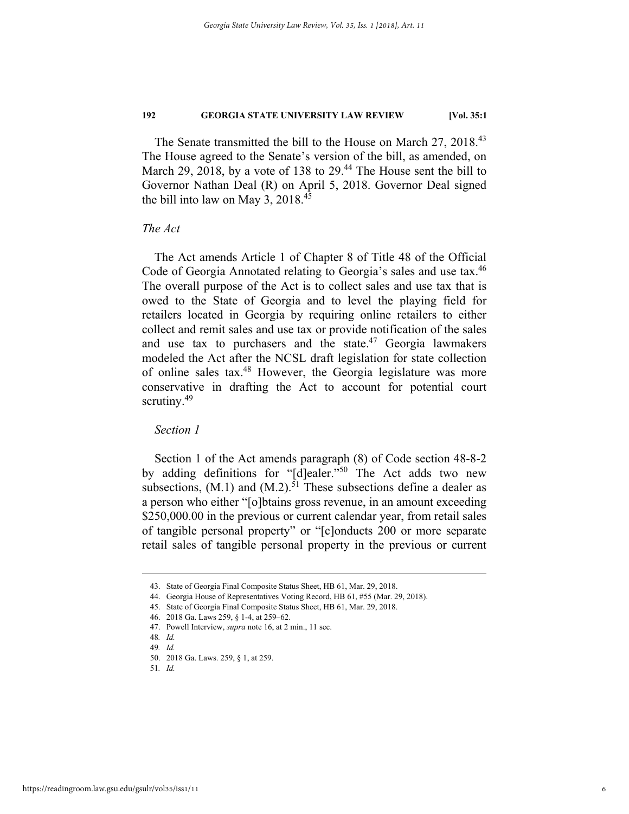The Senate transmitted the bill to the House on March 27, 2018.<sup>43</sup> The House agreed to the Senate's version of the bill, as amended, on March 29, 2018, by a vote of 138 to  $29<sup>44</sup>$ . The House sent the bill to Governor Nathan Deal (R) on April 5, 2018. Governor Deal signed the bill into law on May 3,  $2018.<sup>45</sup>$ 

#### *The Act*

The Act amends Article 1 of Chapter 8 of Title 48 of the Official Code of Georgia Annotated relating to Georgia's sales and use tax.<sup>46</sup> The overall purpose of the Act is to collect sales and use tax that is owed to the State of Georgia and to level the playing field for retailers located in Georgia by requiring online retailers to either collect and remit sales and use tax or provide notification of the sales and use tax to purchasers and the state.<sup>47</sup> Georgia lawmakers modeled the Act after the NCSL draft legislation for state collection of online sales tax.48 However, the Georgia legislature was more conservative in drafting the Act to account for potential court scrutiny.<sup>49</sup>

#### *Section 1*

Section 1 of the Act amends paragraph (8) of Code section 48-8-2 by adding definitions for "[d]ealer."<sup>50</sup> The Act adds two new subsections,  $(M.1)$  and  $(M.2)$ .<sup>51</sup> These subsections define a dealer as a person who either "[o]btains gross revenue, in an amount exceeding \$250,000.00 in the previous or current calendar year, from retail sales of tangible personal property" or "[c]onducts 200 or more separate retail sales of tangible personal property in the previous or current

 <sup>43.</sup> State of Georgia Final Composite Status Sheet, HB 61, Mar. 29, 2018.

 <sup>44.</sup> Georgia House of Representatives Voting Record, HB 61, #55 (Mar. 29, 2018).

 <sup>45.</sup> State of Georgia Final Composite Status Sheet, HB 61, Mar. 29, 2018.

 <sup>46. 2018</sup> Ga. Laws 259, § 1-4, at 259–62.

 <sup>47.</sup> Powell Interview, *supra* note 16, at 2 min., 11 sec.

<sup>48</sup>*. Id.*

<sup>49</sup>*. Id.*

 <sup>50. 2018</sup> Ga. Laws. 259, § 1, at 259.

<sup>51</sup>*. Id.*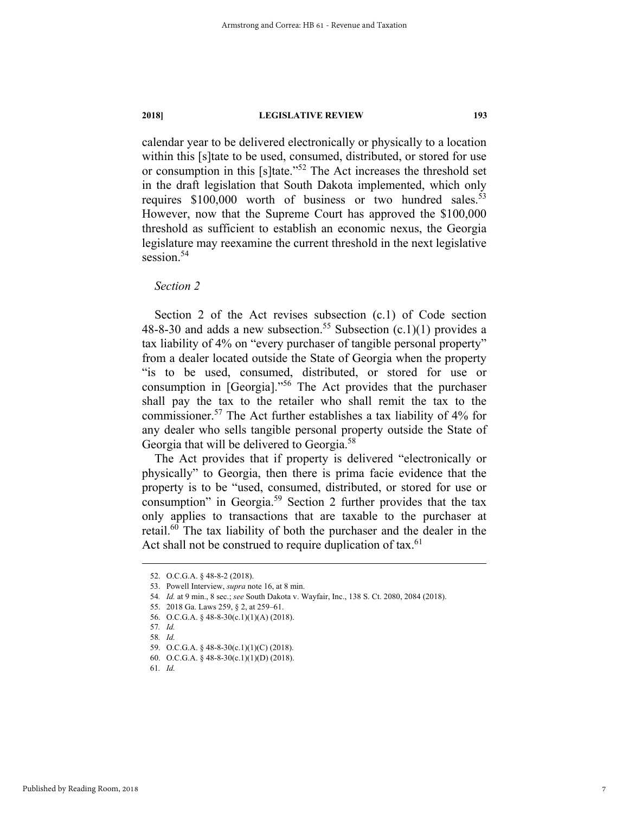calendar year to be delivered electronically or physically to a location within this [s]tate to be used, consumed, distributed, or stored for use or consumption in this [s]tate."52 The Act increases the threshold set in the draft legislation that South Dakota implemented, which only requires  $$100,000$  worth of business or two hundred sales.<sup>53</sup> However, now that the Supreme Court has approved the \$100,000 threshold as sufficient to establish an economic nexus, the Georgia legislature may reexamine the current threshold in the next legislative session.<sup>54</sup>

#### *Section 2*

Section 2 of the Act revises subsection (c.1) of Code section 48-8-30 and adds a new subsection.<sup>55</sup> Subsection  $(c.1)(1)$  provides a tax liability of 4% on "every purchaser of tangible personal property" from a dealer located outside the State of Georgia when the property "is to be used, consumed, distributed, or stored for use or consumption in [Georgia]."56 The Act provides that the purchaser shall pay the tax to the retailer who shall remit the tax to the commissioner.57 The Act further establishes a tax liability of 4% for any dealer who sells tangible personal property outside the State of Georgia that will be delivered to Georgia.<sup>58</sup>

The Act provides that if property is delivered "electronically or physically" to Georgia, then there is prima facie evidence that the property is to be "used, consumed, distributed, or stored for use or consumption" in Georgia.59 Section 2 further provides that the tax only applies to transactions that are taxable to the purchaser at retail.60 The tax liability of both the purchaser and the dealer in the Act shall not be construed to require duplication of tax.<sup>61</sup>

 <sup>52.</sup> O.C.G.A. § 48-8-2 (2018).

 <sup>53.</sup> Powell Interview, *supra* note 16, at 8 min.

<sup>54</sup>*. Id.* at 9 min., 8 sec.; *see* South Dakota v. Wayfair, Inc., 138 S. Ct. 2080, 2084 (2018).

 <sup>55. 2018</sup> Ga. Laws 259, § 2, at 259–61.

 <sup>56.</sup> O.C.G.A. § 48-8-30(c.1)(1)(A) (2018).

<sup>57</sup>*. Id.*

<sup>58</sup>*. Id.*

 <sup>59.</sup> O.C.G.A. § 48-8-30(c.1)(1)(C) (2018).

 <sup>60.</sup> O.C.G.A. § 48-8-30(c.1)(1)(D) (2018).

<sup>61</sup>*. Id.*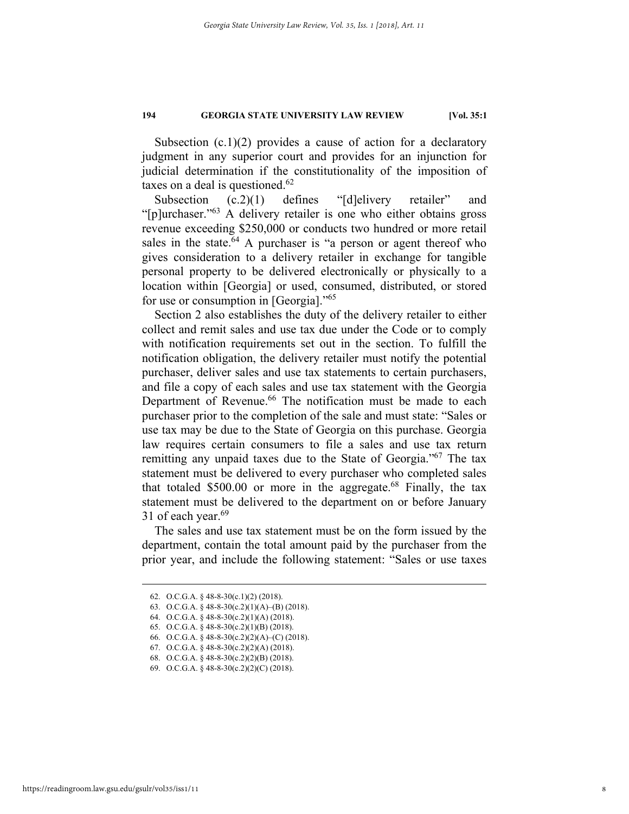Subsection  $(c.1)(2)$  provides a cause of action for a declaratory judgment in any superior court and provides for an injunction for judicial determination if the constitutionality of the imposition of taxes on a deal is questioned. $62$ 

Subsection (c.2)(1) defines "[d]elivery retailer" and "[p]urchaser."<sup>63</sup> A delivery retailer is one who either obtains gross revenue exceeding \$250,000 or conducts two hundred or more retail sales in the state. $64$  A purchaser is "a person or agent thereof who gives consideration to a delivery retailer in exchange for tangible personal property to be delivered electronically or physically to a location within [Georgia] or used, consumed, distributed, or stored for use or consumption in [Georgia]."<sup>65</sup>

Section 2 also establishes the duty of the delivery retailer to either collect and remit sales and use tax due under the Code or to comply with notification requirements set out in the section. To fulfill the notification obligation, the delivery retailer must notify the potential purchaser, deliver sales and use tax statements to certain purchasers, and file a copy of each sales and use tax statement with the Georgia Department of Revenue.<sup>66</sup> The notification must be made to each purchaser prior to the completion of the sale and must state: "Sales or use tax may be due to the State of Georgia on this purchase. Georgia law requires certain consumers to file a sales and use tax return remitting any unpaid taxes due to the State of Georgia."67 The tax statement must be delivered to every purchaser who completed sales that totaled  $$500.00$  or more in the aggregate.<sup>68</sup> Finally, the tax statement must be delivered to the department on or before January 31 of each year. $69$ 

The sales and use tax statement must be on the form issued by the department, contain the total amount paid by the purchaser from the prior year, and include the following statement: "Sales or use taxes

 <sup>62.</sup> O.C.G.A. § 48-8-30(c.1)(2) (2018).

<sup>63.</sup> O.C.G.A.  $\frac{6}{9}$  48-8-30(c.2)(1)(A)–(B) (2018).

 <sup>64.</sup> O.C.G.A. § 48-8-30(c.2)(1)(A) (2018).

 <sup>65.</sup> O.C.G.A. § 48-8-30(c.2)(1)(B) (2018).

 <sup>66.</sup> O.C.G.A. § 48-8-30(c.2)(2)(A)–(C) (2018).

 <sup>67.</sup> O.C.G.A. § 48-8-30(c.2)(2)(A) (2018).

 <sup>68.</sup> O.C.G.A. § 48-8-30(c.2)(2)(B) (2018).

 <sup>69.</sup> O.C.G.A. § 48-8-30(c.2)(2)(C) (2018).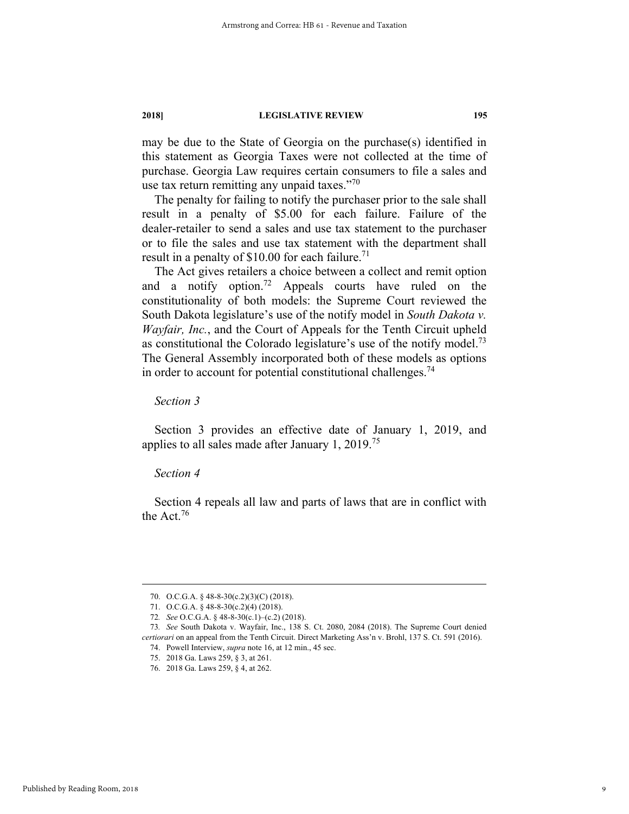may be due to the State of Georgia on the purchase(s) identified in this statement as Georgia Taxes were not collected at the time of purchase. Georgia Law requires certain consumers to file a sales and use tax return remitting any unpaid taxes." $70$ 

The penalty for failing to notify the purchaser prior to the sale shall result in a penalty of \$5.00 for each failure. Failure of the dealer-retailer to send a sales and use tax statement to the purchaser or to file the sales and use tax statement with the department shall result in a penalty of  $$10.00$  for each failure.<sup>71</sup>

The Act gives retailers a choice between a collect and remit option and a notify option.<sup>72</sup> Appeals courts have ruled on the constitutionality of both models: the Supreme Court reviewed the South Dakota legislature's use of the notify model in *South Dakota v. Wayfair, Inc.*, and the Court of Appeals for the Tenth Circuit upheld as constitutional the Colorado legislature's use of the notify model.<sup>73</sup> The General Assembly incorporated both of these models as options in order to account for potential constitutional challenges.<sup>74</sup>

*Section 3* 

Section 3 provides an effective date of January 1, 2019, and applies to all sales made after January  $1, 2019$ <sup>75</sup>

#### *Section 4*

Section 4 repeals all law and parts of laws that are in conflict with the Act.76

 <sup>70.</sup> O.C.G.A. § 48-8-30(c.2)(3)(C) (2018).

 <sup>71.</sup> O.C.G.A. § 48-8-30(c.2)(4) (2018).

<sup>72</sup>*. See* O.C.G.A. § 48-8-30(c.1)–(c.2) (2018).

<sup>73</sup>*. See* South Dakota v. Wayfair, Inc., 138 S. Ct. 2080, 2084 (2018). The Supreme Court denied *certiorari* on an appeal from the Tenth Circuit. Direct Marketing Ass'n v. Brohl, 137 S. Ct. 591 (2016).

 <sup>74.</sup> Powell Interview, *supra* note 16, at 12 min., 45 sec.

 <sup>75. 2018</sup> Ga. Laws 259, § 3, at 261.

 <sup>76. 2018</sup> Ga. Laws 259, § 4, at 262.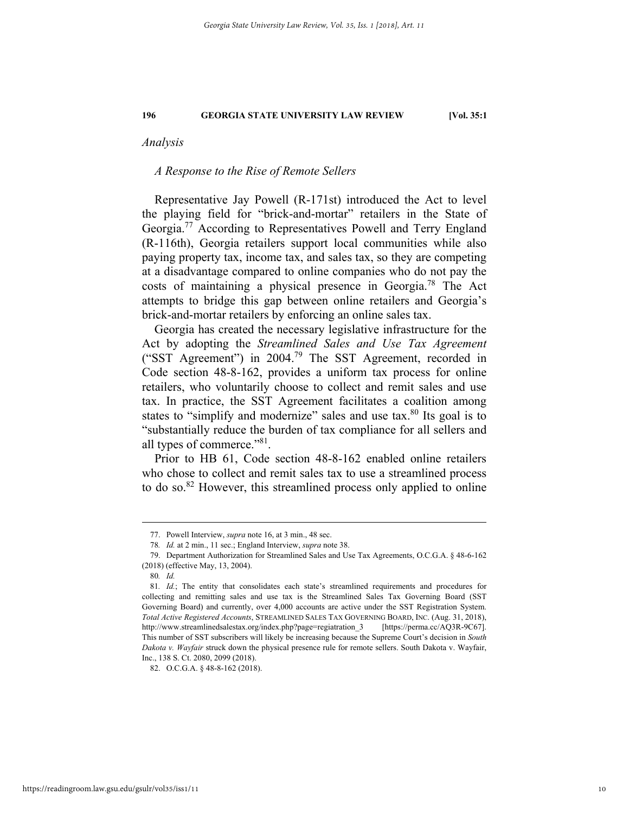*Analysis* 

#### *A Response to the Rise of Remote Sellers*

Representative Jay Powell (R-171st) introduced the Act to level the playing field for "brick-and-mortar" retailers in the State of Georgia.<sup>77</sup> According to Representatives Powell and Terry England (R-116th), Georgia retailers support local communities while also paying property tax, income tax, and sales tax, so they are competing at a disadvantage compared to online companies who do not pay the costs of maintaining a physical presence in Georgia.78 The Act attempts to bridge this gap between online retailers and Georgia's brick-and-mortar retailers by enforcing an online sales tax.

Georgia has created the necessary legislative infrastructure for the Act by adopting the *Streamlined Sales and Use Tax Agreement* ("SST Agreement") in 2004.79 The SST Agreement, recorded in Code section 48-8-162, provides a uniform tax process for online retailers, who voluntarily choose to collect and remit sales and use tax. In practice, the SST Agreement facilitates a coalition among states to "simplify and modernize" sales and use tax.<sup>80</sup> Its goal is to "substantially reduce the burden of tax compliance for all sellers and all types of commerce."81.

Prior to HB 61, Code section 48-8-162 enabled online retailers who chose to collect and remit sales tax to use a streamlined process to do so.82 However, this streamlined process only applied to online

 <sup>77.</sup> Powell Interview, *supra* note 16, at 3 min., 48 sec.

<sup>78</sup>*. Id.* at 2 min., 11 sec.; England Interview, *supra* note 38.

 <sup>79.</sup> Department Authorization for Streamlined Sales and Use Tax Agreements, O.C.G.A. § 48-6-162 (2018) (effective May, 13, 2004).

<sup>80</sup>*. Id.*

<sup>81</sup>*. Id.*; The entity that consolidates each state's streamlined requirements and procedures for collecting and remitting sales and use tax is the Streamlined Sales Tax Governing Board (SST Governing Board) and currently, over 4,000 accounts are active under the SST Registration System. *Total Active Registered Accounts*, STREAMLINED SALES TAX GOVERNING BOARD, INC. (Aug. 31, 2018), http://www.streamlinedsalestax.org/index.php?page=regiatration\_3 [https://perma.cc/AQ3R-9C67]. This number of SST subscribers will likely be increasing because the Supreme Court's decision in *South Dakota v. Wayfair* struck down the physical presence rule for remote sellers. South Dakota v. Wayfair, Inc., 138 S. Ct. 2080, 2099 (2018).

 <sup>82.</sup> O.C.G.A. § 48-8-162 (2018).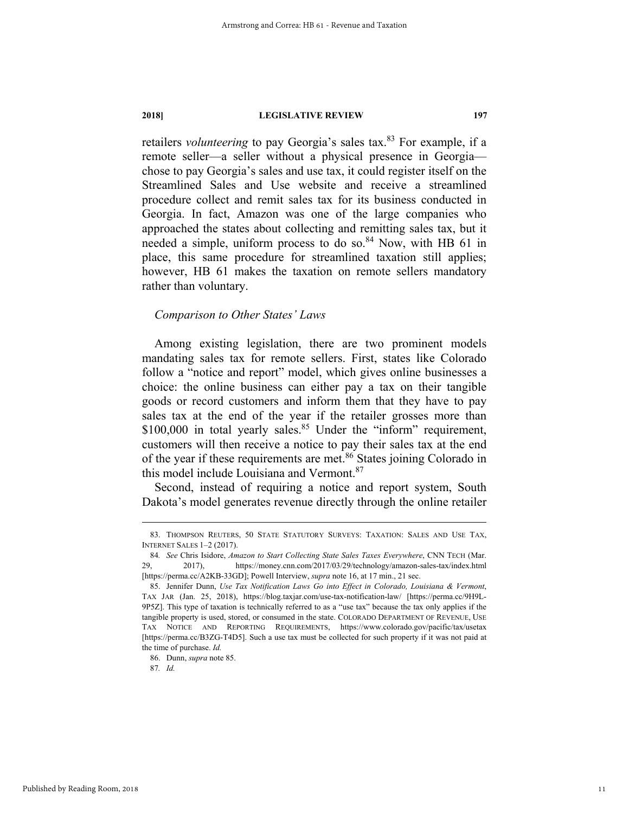retailers *volunteering* to pay Georgia's sales tax.<sup>83</sup> For example, if a remote seller—a seller without a physical presence in Georgia chose to pay Georgia's sales and use tax, it could register itself on the Streamlined Sales and Use website and receive a streamlined procedure collect and remit sales tax for its business conducted in Georgia. In fact, Amazon was one of the large companies who approached the states about collecting and remitting sales tax, but it needed a simple, uniform process to do so. $84$  Now, with HB 61 in place, this same procedure for streamlined taxation still applies; however, HB 61 makes the taxation on remote sellers mandatory rather than voluntary.

#### *Comparison to Other States' Laws*

Among existing legislation, there are two prominent models mandating sales tax for remote sellers. First, states like Colorado follow a "notice and report" model, which gives online businesses a choice: the online business can either pay a tax on their tangible goods or record customers and inform them that they have to pay sales tax at the end of the year if the retailer grosses more than  $$100,000$  in total yearly sales.<sup>85</sup> Under the "inform" requirement, customers will then receive a notice to pay their sales tax at the end of the year if these requirements are met.<sup>86</sup> States joining Colorado in this model include Louisiana and Vermont.<sup>87</sup>

Second, instead of requiring a notice and report system, South Dakota's model generates revenue directly through the online retailer

86. Dunn, *supra* note 85.

87*. Id.*

 <sup>83.</sup> THOMPSON REUTERS, <sup>50</sup> STATE STATUTORY SURVEYS: TAXATION: SALES AND USE TAX, INTERNET SALES 1–2 (2017).

<sup>84.</sup> See Chris Isidore, *Amazon to Start Collecting State Sales Taxes Everywhere*, CNN TECH (Mar. 2017), https://money.cnn.com/2017/03/29/technology/amazon-sales-tax/index.html 29, 2017), https://money.cnn.com/2017/03/29/technology/amazon-sales-tax/index.html [https://perma.cc/A2KB-33GD]; Powell Interview, *supra* note 16, at 17 min., 21 sec.

 <sup>85.</sup> Jennifer Dunn, *Use Tax Notification Laws Go into Effect in Colorado, Louisiana & Vermont*, TAX JAR (Jan. 25, 2018), https://blog.taxjar.com/use-tax-notification-law/ [https://perma.cc/9H9L-9P5Z]. This type of taxation is technically referred to as a "use tax" because the tax only applies if the tangible property is used, stored, or consumed in the state. COLORADO DEPARTMENT OF REVENUE, USE TAX NOTICE AND REPORTING REQUIREMENTS, https://www.colorado.gov/pacific/tax/usetax [https://perma.cc/B3ZG-T4D5]. Such a use tax must be collected for such property if it was not paid at the time of purchase. *Id.*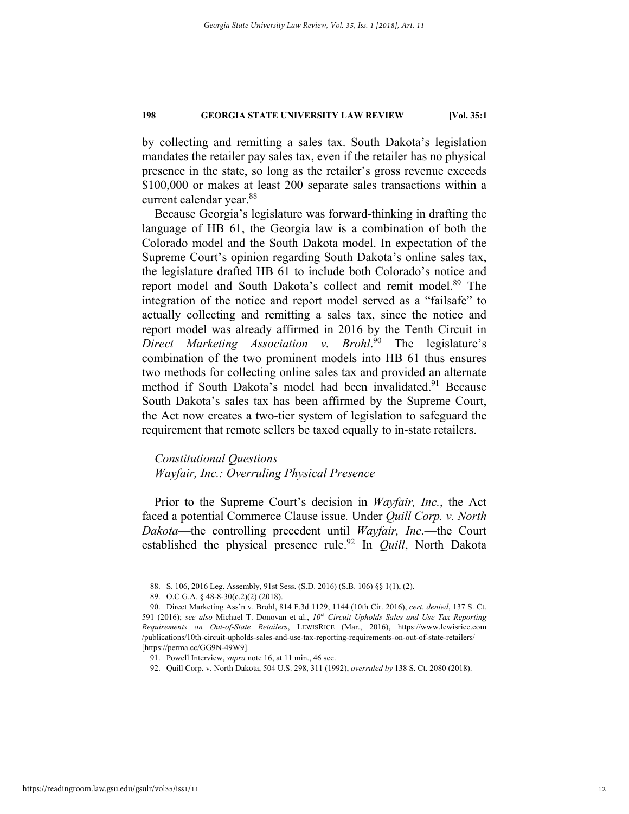by collecting and remitting a sales tax. South Dakota's legislation mandates the retailer pay sales tax, even if the retailer has no physical presence in the state, so long as the retailer's gross revenue exceeds \$100,000 or makes at least 200 separate sales transactions within a current calendar year.<sup>88</sup>

Because Georgia's legislature was forward-thinking in drafting the language of HB 61, the Georgia law is a combination of both the Colorado model and the South Dakota model. In expectation of the Supreme Court's opinion regarding South Dakota's online sales tax, the legislature drafted HB 61 to include both Colorado's notice and report model and South Dakota's collect and remit model.<sup>89</sup> The integration of the notice and report model served as a "failsafe" to actually collecting and remitting a sales tax, since the notice and report model was already affirmed in 2016 by the Tenth Circuit in *Direct Marketing Association v. Brohl*. 90 The legislature's combination of the two prominent models into HB 61 thus ensures two methods for collecting online sales tax and provided an alternate method if South Dakota's model had been invalidated.<sup>91</sup> Because South Dakota's sales tax has been affirmed by the Supreme Court, the Act now creates a two-tier system of legislation to safeguard the requirement that remote sellers be taxed equally to in-state retailers.

#### *Constitutional Questions Wayfair, Inc.: Overruling Physical Presence*

Prior to the Supreme Court's decision in *Wayfair, Inc.*, the Act faced a potential Commerce Clause issue*.* Under *Quill Corp. v. North Dakota*—the controlling precedent until *Wayfair, Inc.*—the Court established the physical presence rule.<sup>92</sup> In *Quill*, North Dakota

 <sup>88.</sup> S. 106, 2016 Leg. Assembly, 91st Sess. (S.D. 2016) (S.B. 106) §§ 1(1), (2).

 <sup>89.</sup> O.C.G.A. § 48-8-30(c.2)(2) (2018).

 <sup>90.</sup> Direct Marketing Ass'n v. Brohl, 814 F.3d 1129, 1144 (10th Cir. 2016), *cert. denied*, 137 S. Ct. 591 (2016); see also Michael T. Donovan et al.,  $10^{th}$  Circuit Upholds Sales and Use Tax Reporting *Requirements on Out-of-State Retailers*, LEWISRICE (Mar., 2016), https://www.lewisrice.com /publications/10th-circuit-upholds-sales-and-use-tax-reporting-requirements-on-out-of-state-retailers/ [https://perma.cc/GG9N-49W9].

 <sup>91.</sup> Powell Interview, *supra* note 16, at 11 min., 46 sec.

 <sup>92.</sup> Quill Corp. v. North Dakota, 504 U.S. 298, 311 (1992), *overruled by* 138 S. Ct. 2080 (2018).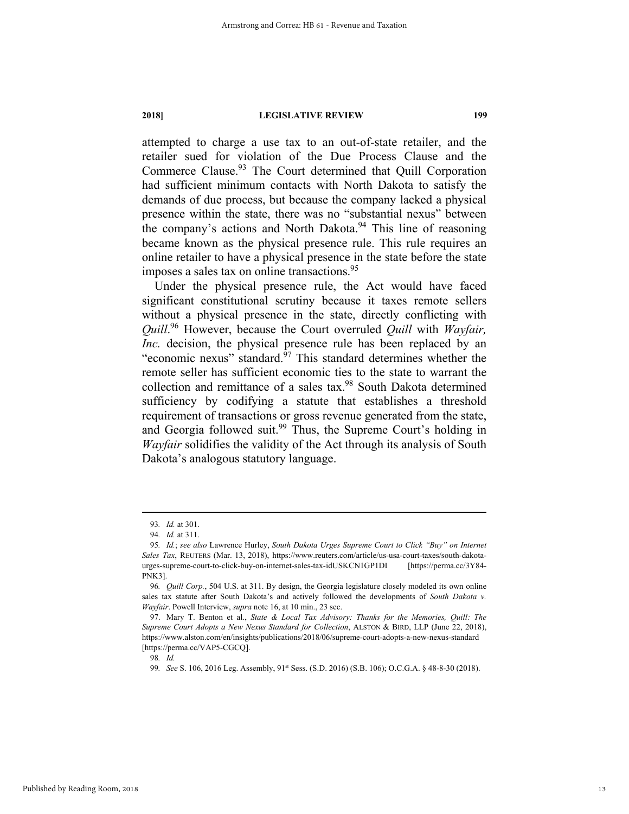attempted to charge a use tax to an out-of-state retailer, and the retailer sued for violation of the Due Process Clause and the Commerce Clause.<sup>93</sup> The Court determined that Quill Corporation had sufficient minimum contacts with North Dakota to satisfy the demands of due process, but because the company lacked a physical presence within the state, there was no "substantial nexus" between the company's actions and North Dakota.<sup>94</sup> This line of reasoning became known as the physical presence rule. This rule requires an online retailer to have a physical presence in the state before the state imposes a sales tax on online transactions.<sup>95</sup>

Under the physical presence rule, the Act would have faced significant constitutional scrutiny because it taxes remote sellers without a physical presence in the state, directly conflicting with *Quill*. 96 However, because the Court overruled *Quill* with *Wayfair, Inc.* decision, the physical presence rule has been replaced by an "economic nexus" standard. $97$  This standard determines whether the remote seller has sufficient economic ties to the state to warrant the collection and remittance of a sales tax.98 South Dakota determined sufficiency by codifying a statute that establishes a threshold requirement of transactions or gross revenue generated from the state, and Georgia followed suit.<sup>99</sup> Thus, the Supreme Court's holding in *Wayfair* solidifies the validity of the Act through its analysis of South Dakota's analogous statutory language.

98*. Id.*

99*. See* S. 106, 2016 Leg. Assembly, 91st Sess. (S.D. 2016) (S.B. 106); O.C.G.A. § 48-8-30 (2018).

 <sup>93</sup>*. Id.* at 301.

<sup>94</sup>*. Id.* at 311.

<sup>95</sup>*. Id.*; *see also* Lawrence Hurley, *South Dakota Urges Supreme Court to Click "Buy" on Internet Sales Tax*, REUTERS (Mar. 13, 2018), https://www.reuters.com/article/us-usa-court-taxes/south-dakotaurges-supreme-court-to-click-buy-on-internet-sales-tax-idUSKCN1GP1DI [https://perma.cc/3Y84- PNK3].

<sup>96</sup>*. Quill Corp.*, 504 U.S. at 311. By design, the Georgia legislature closely modeled its own online sales tax statute after South Dakota's and actively followed the developments of *South Dakota v. Wayfair*. Powell Interview, *supra* note 16, at 10 min., 23 sec.

 <sup>97.</sup> Mary T. Benton et al., *State & Local Tax Advisory: Thanks for the Memories, Quill: The Supreme Court Adopts a New Nexus Standard for Collection*, ALSTON & BIRD, LLP (June 22, 2018), https://www.alston.com/en/insights/publications/2018/06/supreme-court-adopts-a-new-nexus-standard [https://perma.cc/VAP5-CGCQ].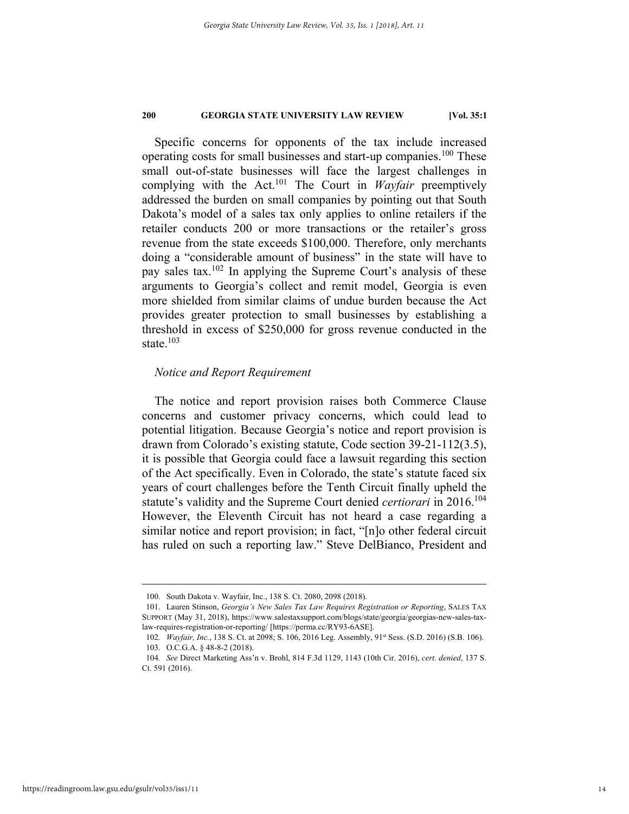Specific concerns for opponents of the tax include increased operating costs for small businesses and start-up companies.<sup>100</sup> These small out-of-state businesses will face the largest challenges in complying with the Act.101 The Court in *Wayfair* preemptively addressed the burden on small companies by pointing out that South Dakota's model of a sales tax only applies to online retailers if the retailer conducts 200 or more transactions or the retailer's gross revenue from the state exceeds \$100,000. Therefore, only merchants doing a "considerable amount of business" in the state will have to pay sales tax.102 In applying the Supreme Court's analysis of these arguments to Georgia's collect and remit model, Georgia is even more shielded from similar claims of undue burden because the Act provides greater protection to small businesses by establishing a threshold in excess of \$250,000 for gross revenue conducted in the state.<sup>103</sup>

#### *Notice and Report Requirement*

The notice and report provision raises both Commerce Clause concerns and customer privacy concerns, which could lead to potential litigation. Because Georgia's notice and report provision is drawn from Colorado's existing statute, Code section 39-21-112(3.5), it is possible that Georgia could face a lawsuit regarding this section of the Act specifically. Even in Colorado, the state's statute faced six years of court challenges before the Tenth Circuit finally upheld the statute's validity and the Supreme Court denied *certiorari* in 2016.104 However, the Eleventh Circuit has not heard a case regarding a similar notice and report provision; in fact, "[n]o other federal circuit has ruled on such a reporting law." Steve DelBianco, President and

 <sup>100.</sup> South Dakota v. Wayfair, Inc., 138 S. Ct. 2080, 2098 (2018).

 <sup>101.</sup> Lauren Stinson, *Georgia's New Sales Tax Law Requires Registration or Reporting*, SALES TAX SUPPORT (May 31, 2018), https://www.salestaxsupport.com/blogs/state/georgia/georgias-new-sales-taxlaw-requires-registration-or-reporting/ [https://perma.cc/RY93-6ASE].

<sup>102</sup>*. Wayfair, Inc.*, 138 S. Ct. at 2098; S. 106, 2016 Leg. Assembly, 91<sup>st</sup> Sess. (S.D. 2016) (S.B. 106). 103. O.C.G.A. § 48-8-2 (2018).

<sup>104</sup>*. See* Direct Marketing Ass'n v. Brohl, 814 F.3d 1129, 1143 (10th Cir. 2016), *cert. denied*, 137 S. Ct. 591 (2016).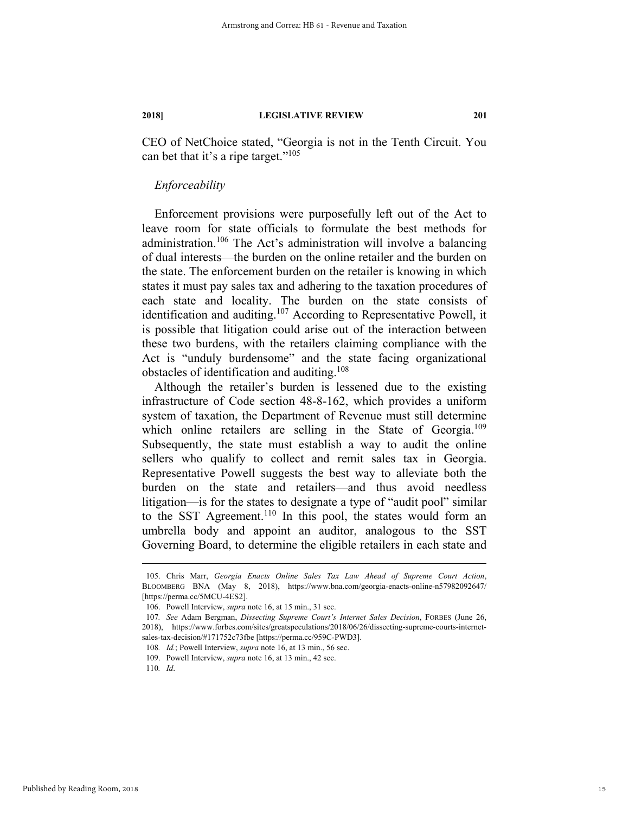CEO of NetChoice stated, "Georgia is not in the Tenth Circuit. You can bet that it's a ripe target."<sup>105</sup>

#### *Enforceability*

Enforcement provisions were purposefully left out of the Act to leave room for state officials to formulate the best methods for administration.<sup>106</sup> The Act's administration will involve a balancing of dual interests—the burden on the online retailer and the burden on the state. The enforcement burden on the retailer is knowing in which states it must pay sales tax and adhering to the taxation procedures of each state and locality. The burden on the state consists of identification and auditing.<sup>107</sup> According to Representative Powell, it is possible that litigation could arise out of the interaction between these two burdens, with the retailers claiming compliance with the Act is "unduly burdensome" and the state facing organizational obstacles of identification and auditing.108

Although the retailer's burden is lessened due to the existing infrastructure of Code section 48-8-162, which provides a uniform system of taxation, the Department of Revenue must still determine which online retailers are selling in the State of Georgia.<sup>109</sup> Subsequently, the state must establish a way to audit the online sellers who qualify to collect and remit sales tax in Georgia. Representative Powell suggests the best way to alleviate both the burden on the state and retailers—and thus avoid needless litigation—is for the states to designate a type of "audit pool" similar to the SST Agreement.<sup>110</sup> In this pool, the states would form an umbrella body and appoint an auditor, analogous to the SST Governing Board, to determine the eligible retailers in each state and

 <sup>105.</sup> Chris Marr, *Georgia Enacts Online Sales Tax Law Ahead of Supreme Court Action*, BLOOMBERG BNA (May 8, 2018), https://www.bna.com/georgia-enacts-online-n57982092647/ [https://perma.cc/5MCU-4ES2].

 <sup>106.</sup> Powell Interview, *supra* note 16, at 15 min., 31 sec.

<sup>107</sup>*. See* Adam Bergman, *Dissecting Supreme Court's Internet Sales Decision*, FORBES (June 26, 2018), https://www.forbes.com/sites/greatspeculations/2018/06/26/dissecting-supreme-courts-internetsales-tax-decision/#171752c73fbe [https://perma.cc/959C-PWD3].

<sup>108</sup>*. Id.*; Powell Interview, *supra* note 16, at 13 min., 56 sec.

 <sup>109.</sup> Powell Interview, *supra* note 16, at 13 min., 42 sec.

<sup>110</sup>*. Id*.